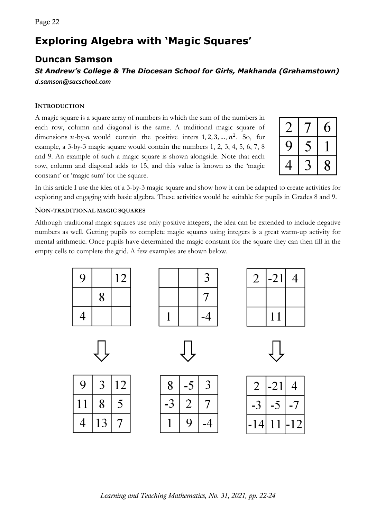# **Exploring Algebra with 'Magic Squares'**

## **Duncan Samson**

### *St Andrew's College & The Diocesan School for Girls, Makhanda (Grahamstown) d.samson@sacschool.com*

#### **INTRODUCTION**

A magic square is a square array of numbers in which the sum of the numbers in each row, column and diagonal is the same. A traditional magic square of dimensions  $n$ -by- $n$  would contain the positive inters 1, 2, 3, ...,  $n^2$ . So, for example, a 3-by-3 magic square would contain the numbers 1, 2, 3, 4, 5, 6, 7, 8 and 9. An example of such a magic square is shown alongside. Note that each row, column and diagonal adds to 15, and this value is known as the 'magic constant' or 'magic sum' for the square.

|   | b |
|---|---|
| り |   |
|   | X |

In this article I use the idea of a 3-by-3 magic square and show how it can be adapted to create activities for exploring and engaging with basic algebra. These activities would be suitable for pupils in Grades 8 and 9.

#### **NON-TRADITIONAL MAGIC SQUARES**

Although traditional magic squares use only positive integers, the idea can be extended to include negative numbers as well. Getting pupils to complete magic squares using integers is a great warm-up activity for mental arithmetic. Once pupils have determined the magic constant for the square they can then fill in the empty cells to complete the grid. A few examples are shown below.









| 9            | $\rightarrow$ | 12                       |
|--------------|---------------|--------------------------|
| $\mathbf{I}$ | 8             | $\overline{\mathcal{F}}$ |
| 4            | 13            |                          |

| 8 |                  |          |
|---|------------------|----------|
|   | $\sum_{i=1}^{n}$ | $\prime$ |
|   | Ý                |          |

|                  | .21 | $\overline{\phantom{a}}$ |
|------------------|-----|--------------------------|
|                  |     | 7                        |
| $\left(4\right)$ | 11  | 2                        |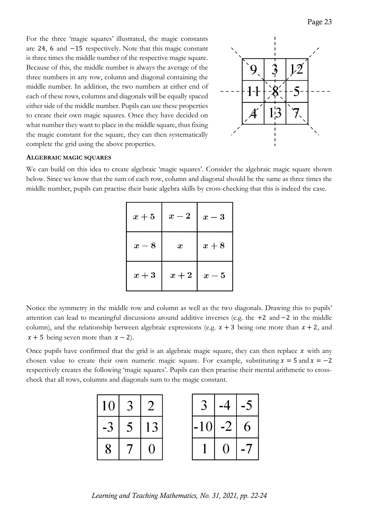For the three 'magic squares' illustrated, the magic constants are 24, 6 and −15 respectively. Note that this magic constant is three times the middle number of the respective magic square. Because of this, the middle number is always the average of the three numbers in any row, column and diagonal containing the middle number. In addition, the two numbers at either end of each of these rows, columns and diagonals will be equally spaced either side of the middle number. Pupils can use these properties to create their own magic squares. Once they have decided on what number they want to place in the middle square, thus fixing the magic constant for the square, they can then systematically complete the grid using the above properties.



#### **ALGEBRAIC MAGIC SQUARES**

We can build on this idea to create algebraic 'magic squares'. Consider the algebraic magic square shown below. Since we know that the sum of each row, column and diagonal should be the same as three times the middle number, pupils can practise their basic algebra skills by cross-checking that this is indeed the case.

| $x+5$ | $x-2$            | $x-3$ |
|-------|------------------|-------|
| $x-8$ | $\boldsymbol{x}$ | $x+8$ |
| $x+3$ | $x+2$            | $x-5$ |

Notice the symmetry in the middle row and column as well as the two diagonals. Drawing this to pupils' attention can lead to meaningful discussions around additive inverses (e.g. the +2 and −2 in the middle column), and the relationship between algebraic expressions (e.g.  $x + 3$  being one more than  $x + 2$ , and  $x + 5$  being seven more than  $x - 2$ ).

Once pupils have confirmed that the grid is an algebraic magic square, they can then replace  $x$  with any chosen value to create their own numeric magic square. For example, substituting  $x = 5$  and  $x = -2$ respectively creates the following 'magic squares'. Pupils can then practise their mental arithmetic to crosscheck that all rows, columns and diagonals sum to the magic constant.

| 10 |   |    |
|----|---|----|
|    | 5 | 13 |
| 8  |   |    |

| ↰       | 4         | $\blacktriangledown$ |
|---------|-----------|----------------------|
| 10<br>- | $\cdot$ . | 6                    |
|         |           | $\overline{I}$       |